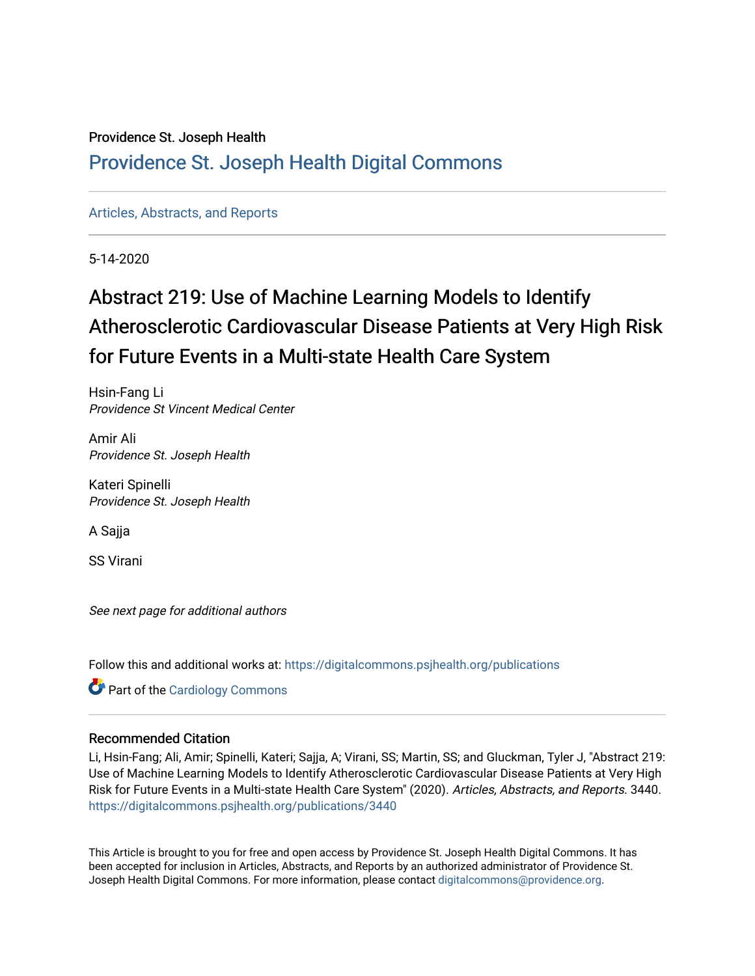### Providence St. Joseph Health

### [Providence St. Joseph Health Digital Commons](https://digitalcommons.psjhealth.org/)

[Articles, Abstracts, and Reports](https://digitalcommons.psjhealth.org/publications) 

5-14-2020

### Abstract 219: Use of Machine Learning Models to Identify Atherosclerotic Cardiovascular Disease Patients at Very High Risk for Future Events in a Multi-state Health Care System

Hsin-Fang Li Providence St Vincent Medical Center

Amir Ali Providence St. Joseph Health

Kateri Spinelli Providence St. Joseph Health

A Sajja

SS Virani

See next page for additional authors

Follow this and additional works at: [https://digitalcommons.psjhealth.org/publications](https://digitalcommons.psjhealth.org/publications?utm_source=digitalcommons.psjhealth.org%2Fpublications%2F3440&utm_medium=PDF&utm_campaign=PDFCoverPages)

**Part of the [Cardiology Commons](http://network.bepress.com/hgg/discipline/683?utm_source=digitalcommons.psjhealth.org%2Fpublications%2F3440&utm_medium=PDF&utm_campaign=PDFCoverPages)** 

### Recommended Citation

Li, Hsin-Fang; Ali, Amir; Spinelli, Kateri; Sajja, A; Virani, SS; Martin, SS; and Gluckman, Tyler J, "Abstract 219: Use of Machine Learning Models to Identify Atherosclerotic Cardiovascular Disease Patients at Very High Risk for Future Events in a Multi-state Health Care System" (2020). Articles, Abstracts, and Reports. 3440. [https://digitalcommons.psjhealth.org/publications/3440](https://digitalcommons.psjhealth.org/publications/3440?utm_source=digitalcommons.psjhealth.org%2Fpublications%2F3440&utm_medium=PDF&utm_campaign=PDFCoverPages) 

This Article is brought to you for free and open access by Providence St. Joseph Health Digital Commons. It has been accepted for inclusion in Articles, Abstracts, and Reports by an authorized administrator of Providence St. Joseph Health Digital Commons. For more information, please contact [digitalcommons@providence.org.](mailto:digitalcommons@providence.org)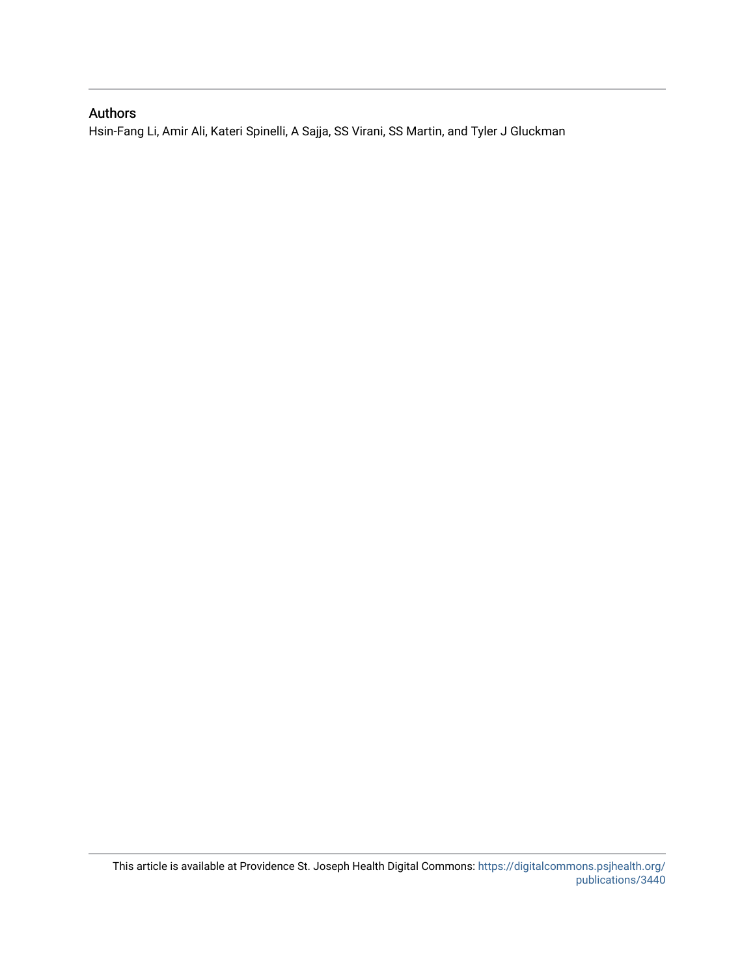### Authors

Hsin-Fang Li, Amir Ali, Kateri Spinelli, A Sajja, SS Virani, SS Martin, and Tyler J Gluckman